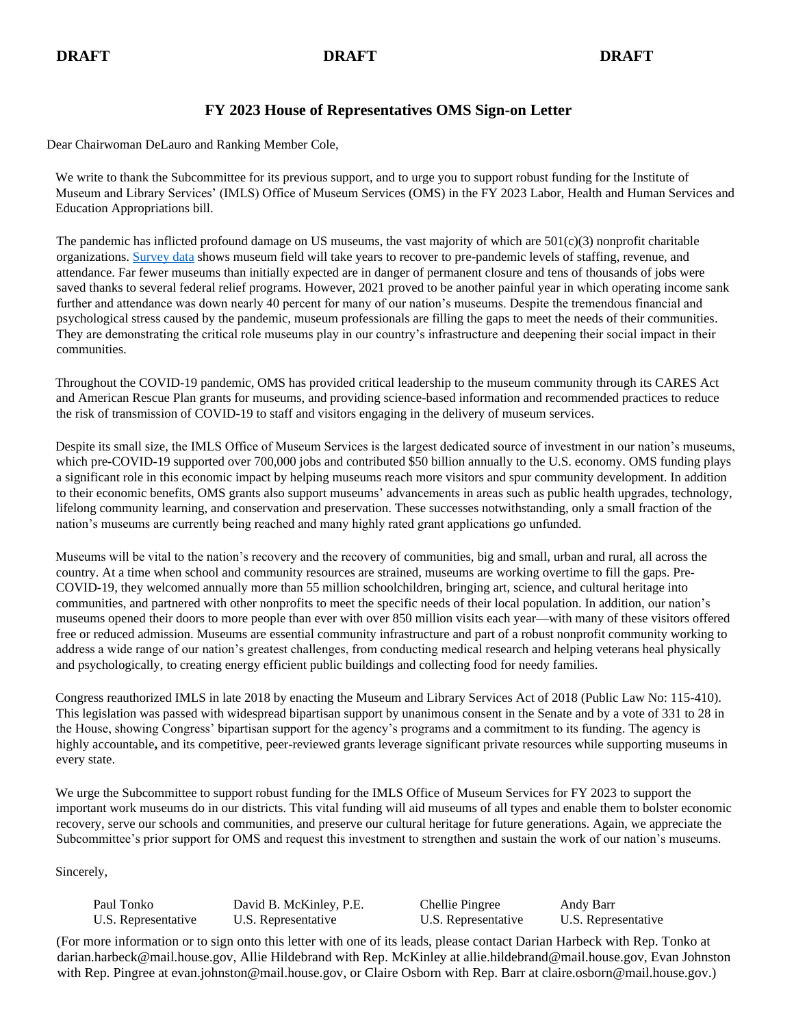# **DRAFT DRAFT DRAFT**

# **FY 2023 House of Representatives OMS Sign-on Letter**

Dear Chairwoman DeLauro and Ranking Member Cole,

We write to thank the Subcommittee for its previous support, and to urge you to support robust funding for the Institute of Museum and Library Services' (IMLS) Office of Museum Services (OMS) in the FY 2023 Labor, Health and Human Services and Education Appropriations bill.

The pandemic has inflicted profound damage on US museums, the vast majority of which are  $501(c)(3)$  nonprofit charitable organizations. [Survey data](https://www.aam-us.org/2022/02/08/museum-field-experiencing-compounding-financial-losses-new-survey-reveals/) shows museum field will take years to recover to pre-pandemic levels of staffing, revenue, and attendance. Far fewer museums than initially expected are in danger of permanent closure and tens of thousands of jobs were saved thanks to several federal relief programs. However, 2021 proved to be another painful year in which operating income sank further and attendance was down nearly 40 percent for many of our nation's museums. Despite the tremendous financial and psychological stress caused by the pandemic, museum professionals are filling the gaps to meet the needs of their communities. They are demonstrating the critical role museums play in our country's infrastructure and deepening their social impact in their communities.

Throughout the COVID-19 pandemic, OMS has provided critical leadership to the museum community through its CARES Act and American Rescue Plan grants for museums, and providing science-based information and recommended practices to reduce the risk of transmission of COVID-19 to staff and visitors engaging in the delivery of museum services.

Despite its small size, the IMLS Office of Museum Services is the largest dedicated source of investment in our nation's museums, which pre-COVID-19 supported over 700,000 jobs and contributed \$50 billion annually to the U.S. economy. OMS funding plays a significant role in this economic impact by helping museums reach more visitors and spur community development. In addition to their economic benefits, OMS grants also support museums' advancements in areas such as public health upgrades, technology, lifelong community learning, and conservation and preservation. These successes notwithstanding, only a small fraction of the nation's museums are currently being reached and many highly rated grant applications go unfunded.

Museums will be vital to the nation's recovery and the recovery of communities, big and small, urban and rural, all across the country. At a time when school and community resources are strained, museums are working overtime to fill the gaps. Pre-COVID-19, they welcomed annually more than 55 million schoolchildren, bringing art, science, and cultural heritage into communities, and partnered with other nonprofits to meet the specific needs of their local population. In addition, our nation's museums opened their doors to more people than ever with over 850 million visits each year—with many of these visitors offered free or reduced admission. Museums are essential community infrastructure and part of a robust nonprofit community working to address a wide range of our nation's greatest challenges, from conducting medical research and helping veterans heal physically and psychologically, to creating energy efficient public buildings and collecting food for needy families.

Congress reauthorized IMLS in late 2018 by enacting the Museum and Library Services Act of 2018 (Public Law No: 115-410). This legislation was passed with widespread bipartisan support by unanimous consent in the Senate and by a vote of 331 to 28 in the House, showing Congress' bipartisan support for the agency's programs and a commitment to its funding. The agency is highly accountable**,** and its competitive, peer-reviewed grants leverage significant private resources while supporting museums in every state.

We urge the Subcommittee to support robust funding for the IMLS Office of Museum Services for FY 2023 to support the important work museums do in our districts. This vital funding will aid museums of all types and enable them to bolster economic recovery, serve our schools and communities, and preserve our cultural heritage for future generations. Again, we appreciate the Subcommittee's prior support for OMS and request this investment to strengthen and sustain the work of our nation's museums.

Sincerely,

| Paul Tonko          | David B. McKinley, P.E. | Chellie Pingree     | Andy Barr           |
|---------------------|-------------------------|---------------------|---------------------|
| U.S. Representative | U.S. Representative     | U.S. Representative | U.S. Representative |

(For more information or to sign onto this letter with one of its leads, please contact Darian Harbeck with Rep. Tonko at darian.harbeck@mail.house.gov, Allie Hildebrand with Rep. McKinley at allie.hildebrand@mail.house.gov, Evan Johnston with Rep. Pingree at evan.johnston@mail.house.gov, or Claire Osborn with Rep. Barr at claire.osborn@mail.house.gov.)